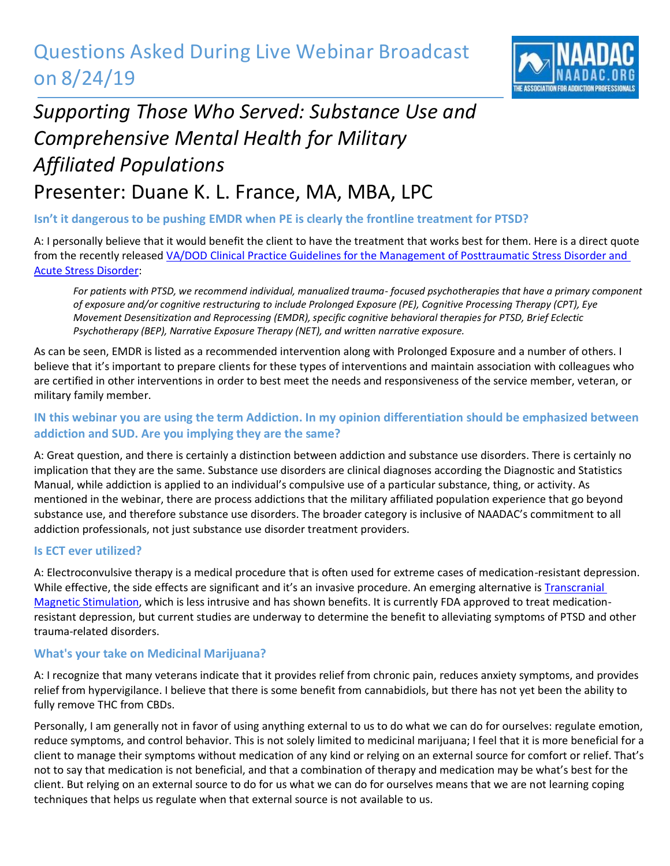## Questions Asked During Live Webinar Broadcast on 8/24/19



# *Supporting Those Who Served: Substance Use and Comprehensive Mental Health for Military Affiliated Populations* Presenter: Duane K. L. France, MA, MBA, LPC

## **Isn't it dangerous to be pushing EMDR when PE is clearly the frontline treatment for PTSD?**

A: I personally believe that it would benefit the client to have the treatment that works best for them. Here is a direct quote from the recently released [VA/DOD Clinical Practice Guidelines for the Management of Posttraumatic Stress Disorder and](https://www.healthquality.va.gov/guidelines/MH/ptsd/VADoDPTSDCPGFinal012418.pdf)  [Acute Stress Disorder:](https://www.healthquality.va.gov/guidelines/MH/ptsd/VADoDPTSDCPGFinal012418.pdf)

*For patients with PTSD, we recommend individual, manualized trauma- focused psychotherapies that have a primary component of exposure and/or cognitive restructuring to include Prolonged Exposure (PE), Cognitive Processing Therapy (CPT), Eye Movement Desensitization and Reprocessing (EMDR), specific cognitive behavioral therapies for PTSD, Brief Eclectic Psychotherapy (BEP), Narrative Exposure Therapy (NET), and written narrative exposure.* 

As can be seen, EMDR is listed as a recommended intervention along with Prolonged Exposure and a number of others. I believe that it's important to prepare clients for these types of interventions and maintain association with colleagues who are certified in other interventions in order to best meet the needs and responsiveness of the service member, veteran, or military family member.

## **IN this webinar you are using the term Addiction. In my opinion differentiation should be emphasized between addiction and SUD. Are you implying they are the same?**

A: Great question, and there is certainly a distinction between addiction and substance use disorders. There is certainly no implication that they are the same. Substance use disorders are clinical diagnoses according the Diagnostic and Statistics Manual, while addiction is applied to an individual's compulsive use of a particular substance, thing, or activity. As mentioned in the webinar, there are process addictions that the military affiliated population experience that go beyond substance use, and therefore substance use disorders. The broader category is inclusive of NAADAC's commitment to all addiction professionals, not just substance use disorder treatment providers.

#### **Is ECT ever utilized?**

A: Electroconvulsive therapy is a medical procedure that is often used for extreme cases of medication-resistant depression. While effective, the side effects are significant and it's an invasive procedure. An emerging alternative is Transcranial [Magnetic Stimulation,](https://fcsprings.com/tms) which is less intrusive and has shown benefits. It is currently FDA approved to treat medicationresistant depression, but current studies are underway to determine the benefit to alleviating symptoms of PTSD and other trauma-related disorders.

#### **What's your take on Medicinal Marijuana?**

A: I recognize that many veterans indicate that it provides relief from chronic pain, reduces anxiety symptoms, and provides relief from hypervigilance. I believe that there is some benefit from cannabidiols, but there has not yet been the ability to fully remove THC from CBDs.

Personally, I am generally not in favor of using anything external to us to do what we can do for ourselves: regulate emotion, reduce symptoms, and control behavior. This is not solely limited to medicinal marijuana; I feel that it is more beneficial for a client to manage their symptoms without medication of any kind or relying on an external source for comfort or relief. That's not to say that medication is not beneficial, and that a combination of therapy and medication may be what's best for the client. But relying on an external source to do for us what we can do for ourselves means that we are not learning coping techniques that helps us regulate when that external source is not available to us.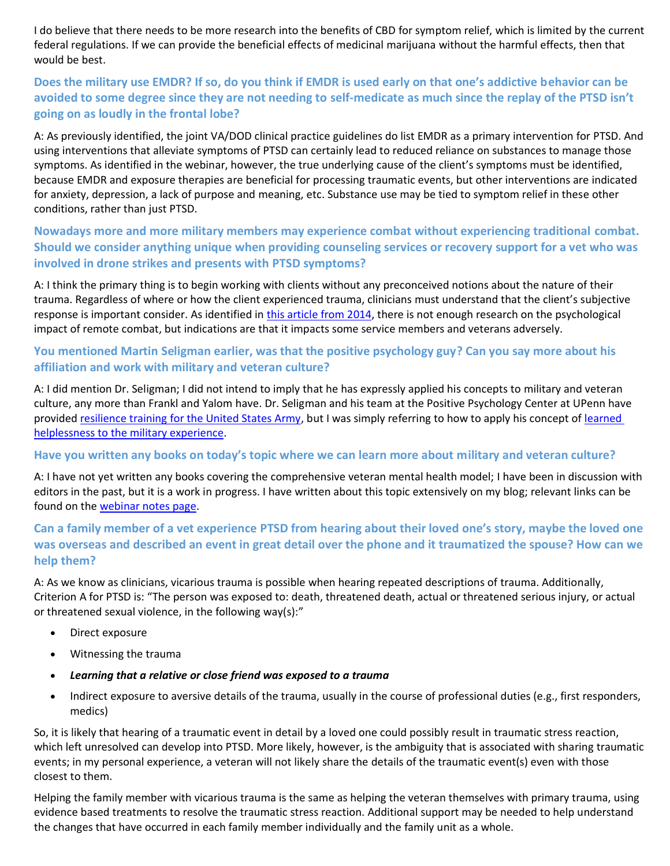I do believe that there needs to be more research into the benefits of CBD for symptom relief, which is limited by the current federal regulations. If we can provide the beneficial effects of medicinal marijuana without the harmful effects, then that would be best.

## **Does the military use EMDR? If so, do you think if EMDR is used early on that one's addictive behavior can be avoided to some degree since they are not needing to self-medicate as much since the replay of the PTSD isn't going on as loudly in the frontal lobe?**

A: As previously identified, the joint VA/DOD clinical practice guidelines do list EMDR as a primary intervention for PTSD. And using interventions that alleviate symptoms of PTSD can certainly lead to reduced reliance on substances to manage those symptoms. As identified in the webinar, however, the true underlying cause of the client's symptoms must be identified, because EMDR and exposure therapies are beneficial for processing traumatic events, but other interventions are indicated for anxiety, depression, a lack of purpose and meaning, etc. Substance use may be tied to symptom relief in these other conditions, rather than just PTSD.

#### **Nowadays more and more military members may experience combat without experiencing traditional combat. Should we consider anything unique when providing counseling services or recovery support for a vet who was involved in drone strikes and presents with PTSD symptoms?**

A: I think the primary thing is to begin working with clients without any preconceived notions about the nature of their trauma. Regardless of where or how the client experienced trauma, clinicians must understand that the client's subjective response is important consider. As identified in [this article from 2014,](https://digitalcommons.unl.edu/cgi/viewcontent.cgi?article=1045&context=usafresearch) there is not enough research on the psychological impact of remote combat, but indications are that it impacts some service members and veterans adversely.

#### **You mentioned Martin Seligman earlier, was that the positive psychology guy? Can you say more about his affiliation and work with military and veteran culture?**

A: I did mention Dr. Seligman; I did not intend to imply that he has expressly applied his concepts to military and veteran culture, any more than Frankl and Yalom have. Dr. Seligman and his team at the Positive Psychology Center at UPenn have provided [resilience training for the United States Army,](https://ppc.sas.upenn.edu/services/resilience-training-army) but I was simply referring to how to apply his concept of learned [helplessness to the military experience.](http://veteranmentalhealth.com/helping-veterans-trapped-by-their-own-experiences-learned-helplessness-and-veteran-mental-health/)

#### **Have you written any books on today's topic where we can learn more about military and veteran culture?**

A: I have not yet written any books covering the comprehensive veteran mental health model; I have been in discussion with editors in the past, but it is a work in progress. I have written about this topic extensively on my blog; relevant links can be found on the [webinar notes page.](http://www.veteranmentalhealth.com/naadac1)

## **Can a family member of a vet experience PTSD from hearing about their loved one's story, maybe the loved one was overseas and described an event in great detail over the phone and it traumatized the spouse? How can we help them?**

A: As we know as clinicians, vicarious trauma is possible when hearing repeated descriptions of trauma. Additionally, Criterion A for PTSD is: "The person was exposed to: death, threatened death, actual or threatened serious injury, or actual or threatened sexual violence, in the following way(s):"

- Direct exposure
- Witnessing the trauma
- *Learning that a relative or close friend was exposed to a trauma*
- Indirect exposure to aversive details of the trauma, usually in the course of professional duties (e.g., first responders, medics)

So, it is likely that hearing of a traumatic event in detail by a loved one could possibly result in traumatic stress reaction, which left unresolved can develop into PTSD. More likely, however, is the ambiguity that is associated with sharing traumatic events; in my personal experience, a veteran will not likely share the details of the traumatic event(s) even with those closest to them.

Helping the family member with vicarious trauma is the same as helping the veteran themselves with primary trauma, using evidence based treatments to resolve the traumatic stress reaction. Additional support may be needed to help understand the changes that have occurred in each family member individually and the family unit as a whole.